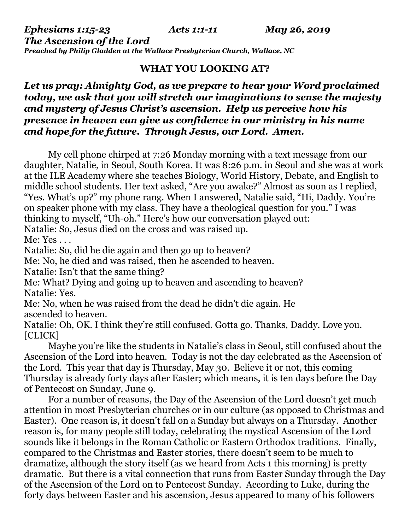*The Ascension of the Lord*

*Preached by Philip Gladden at the Wallace Presbyterian Church, Wallace, NC*

## **WHAT YOU LOOKING AT?**

## *Let us pray: Almighty God, as we prepare to hear your Word proclaimed today, we ask that you will stretch our imaginations to sense the majesty and mystery of Jesus Christ's ascension. Help us perceive how his presence in heaven can give us confidence in our ministry in his name and hope for the future. Through Jesus, our Lord. Amen.*

My cell phone chirped at 7:26 Monday morning with a text message from our daughter, Natalie, in Seoul, South Korea. It was 8:26 p.m. in Seoul and she was at work at the ILE Academy where she teaches Biology, World History, Debate, and English to middle school students. Her text asked, "Are you awake?" Almost as soon as I replied, "Yes. What's up?" my phone rang. When I answered, Natalie said, "Hi, Daddy. You're on speaker phone with my class. They have a theological question for you." I was thinking to myself, "Uh-oh." Here's how our conversation played out:

Natalie: So, Jesus died on the cross and was raised up.

Me: Yes . . .

Natalie: So, did he die again and then go up to heaven?

Me: No, he died and was raised, then he ascended to heaven.

Natalie: Isn't that the same thing?

Me: What? Dying and going up to heaven and ascending to heaven? Natalie: Yes.

Me: No, when he was raised from the dead he didn't die again. He ascended to heaven.

Natalie: Oh, OK. I think they're still confused. Gotta go. Thanks, Daddy. Love you. [CLICK]

Maybe you're like the students in Natalie's class in Seoul, still confused about the Ascension of the Lord into heaven. Today is not the day celebrated as the Ascension of the Lord. This year that day is Thursday, May 30. Believe it or not, this coming Thursday is already forty days after Easter; which means, it is ten days before the Day of Pentecost on Sunday, June 9.

For a number of reasons, the Day of the Ascension of the Lord doesn't get much attention in most Presbyterian churches or in our culture (as opposed to Christmas and Easter). One reason is, it doesn't fall on a Sunday but always on a Thursday. Another reason is, for many people still today, celebrating the mystical Ascension of the Lord sounds like it belongs in the Roman Catholic or Eastern Orthodox traditions. Finally, compared to the Christmas and Easter stories, there doesn't seem to be much to dramatize, although the story itself (as we heard from Acts 1 this morning) is pretty dramatic. But there is a vital connection that runs from Easter Sunday through the Day of the Ascension of the Lord on to Pentecost Sunday. According to Luke, during the forty days between Easter and his ascension, Jesus appeared to many of his followers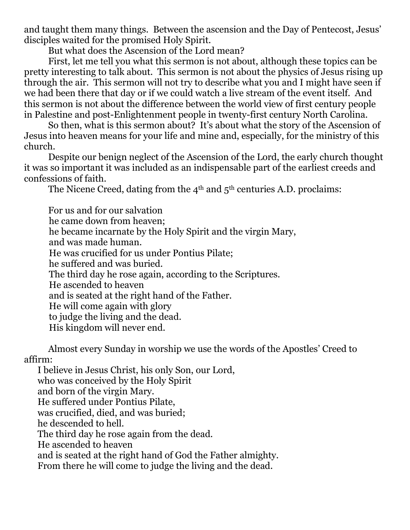and taught them many things. Between the ascension and the Day of Pentecost, Jesus' disciples waited for the promised Holy Spirit.

But what does the Ascension of the Lord mean?

First, let me tell you what this sermon is not about, although these topics can be pretty interesting to talk about. This sermon is not about the physics of Jesus rising up through the air. This sermon will not try to describe what you and I might have seen if we had been there that day or if we could watch a live stream of the event itself. And this sermon is not about the difference between the world view of first century people in Palestine and post-Enlightenment people in twenty-first century North Carolina.

So then, what is this sermon about? It's about what the story of the Ascension of Jesus into heaven means for your life and mine and, especially, for the ministry of this church.

Despite our benign neglect of the Ascension of the Lord, the early church thought it was so important it was included as an indispensable part of the earliest creeds and confessions of faith.

The Nicene Creed, dating from the  $4<sup>th</sup>$  and  $5<sup>th</sup>$  centuries A.D. proclaims:

For us and for our salvation he came down from heaven; he became incarnate by the Holy Spirit and the virgin Mary, and was made human. He was crucified for us under Pontius Pilate; he suffered and was buried. The third day he rose again, according to the Scriptures. He ascended to heaven and is seated at the right hand of the Father. He will come again with glory to judge the living and the dead. His kingdom will never end.

Almost every Sunday in worship we use the words of the Apostles' Creed to affirm:

 I believe in Jesus Christ, his only Son, our Lord, who was conceived by the Holy Spirit and born of the virgin Mary. He suffered under Pontius Pilate, was crucified, died, and was buried; he descended to hell. The third day he rose again from the dead. He ascended to heaven and is seated at the right hand of God the Father almighty. From there he will come to judge the living and the dead.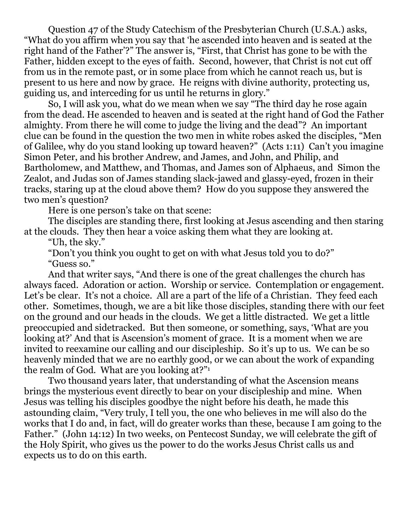Question 47 of the Study Catechism of the Presbyterian Church (U.S.A.) asks, "What do you affirm when you say that 'he ascended into heaven and is seated at the right hand of the Father'?" The answer is, "First, that Christ has gone to be with the Father, hidden except to the eyes of faith. Second, however, that Christ is not cut off from us in the remote past, or in some place from which he cannot reach us, but is present to us here and now by grace. He reigns with divine authority, protecting us, guiding us, and interceding for us until he returns in glory."

So, I will ask you, what do we mean when we say "The third day he rose again from the dead. He ascended to heaven and is seated at the right hand of God the Father almighty. From there he will come to judge the living and the dead"? An important clue can be found in the question the two men in white robes asked the disciples, "Men of Galilee, why do you stand looking up toward heaven?" (Acts 1:11) Can't you imagine Simon Peter, and his brother Andrew, and James, and John, and Philip, and Bartholomew, and Matthew, and Thomas, and James son of Alphaeus, and Simon the Zealot, and Judas son of James standing slack-jawed and glassy-eyed, frozen in their tracks, staring up at the cloud above them? How do you suppose they answered the two men's question?

Here is one person's take on that scene:

The disciples are standing there, first looking at Jesus ascending and then staring at the clouds. They then hear a voice asking them what they are looking at.

"Uh, the sky."

"Don't you think you ought to get on with what Jesus told you to do?"

"Guess so."

And that writer says, "And there is one of the great challenges the church has always faced. Adoration or action. Worship or service. Contemplation or engagement. Let's be clear. It's not a choice. All are a part of the life of a Christian. They feed each other. Sometimes, though, we are a bit like those disciples, standing there with our feet on the ground and our heads in the clouds. We get a little distracted. We get a little preoccupied and sidetracked. But then someone, or something, says, 'What are you looking at?' And that is Ascension's moment of grace. It is a moment when we are invited to reexamine our calling and our discipleship. So it's up to us. We can be so heavenly minded that we are no earthly good, or we can about the work of expanding the realm of God. What are you looking at?"<sup>1</sup>

Two thousand years later, that understanding of what the Ascension means brings the mysterious event directly to bear on your discipleship and mine. When Jesus was telling his disciples goodbye the night before his death, he made this astounding claim, "Very truly, I tell you, the one who believes in me will also do the works that I do and, in fact, will do greater works than these, because I am going to the Father." (John 14:12) In two weeks, on Pentecost Sunday, we will celebrate the gift of the Holy Spirit, who gives us the power to do the works Jesus Christ calls us and expects us to do on this earth.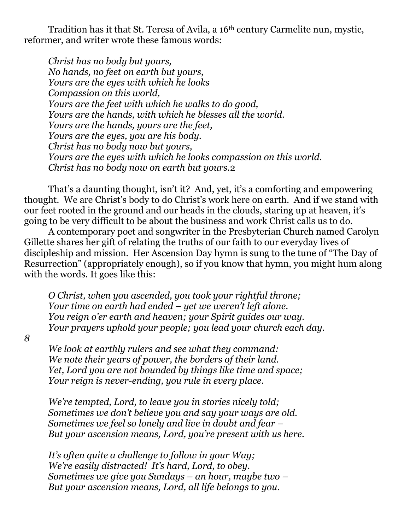Tradition has it that St. Teresa of Avila, a 16th century Carmelite nun, mystic, reformer, and writer wrote these famous words:

*Christ has no body but yours, No hands, no feet on earth but yours, Yours are the eyes with which he looks Compassion on this world, Yours are the feet with which he walks to do good, Yours are the hands, with which he blesses all the world. Yours are the hands, yours are the feet, Yours are the eyes, you are his body. Christ has no body now but yours, Yours are the eyes with which he looks compassion on this world. Christ has no body now on earth but yours.*2

That's a daunting thought, isn't it? And, yet, it's a comforting and empowering thought. We are Christ's body to do Christ's work here on earth. And if we stand with our feet rooted in the ground and our heads in the clouds, staring up at heaven, it's going to be very difficult to be about the business and work Christ calls us to do.

A contemporary poet and songwriter in the Presbyterian Church named Carolyn Gillette shares her gift of relating the truths of our faith to our everyday lives of discipleship and mission. Her Ascension Day hymn is sung to the tune of "The Day of Resurrection" (appropriately enough), so if you know that hymn, you might hum along with the words. It goes like this:

*O Christ, when you ascended, you took your rightful throne; Your time on earth had ended – yet we weren't left alone. You reign o'er earth and heaven; your Spirit guides our way. Your prayers uphold your people; you lead your church each day.*

*8*

*We look at earthly rulers and see what they command: We note their years of power, the borders of their land. Yet, Lord you are not bounded by things like time and space; Your reign is never-ending, you rule in every place.*

*We're tempted, Lord, to leave you in stories nicely told; Sometimes we don't believe you and say your ways are old. Sometimes we feel so lonely and live in doubt and fear – But your ascension means, Lord, you're present with us here.*

*It's often quite a challenge to follow in your Way; We're easily distracted! It's hard, Lord, to obey. Sometimes we give you Sundays – an hour, maybe two – But your ascension means, Lord, all life belongs to you.*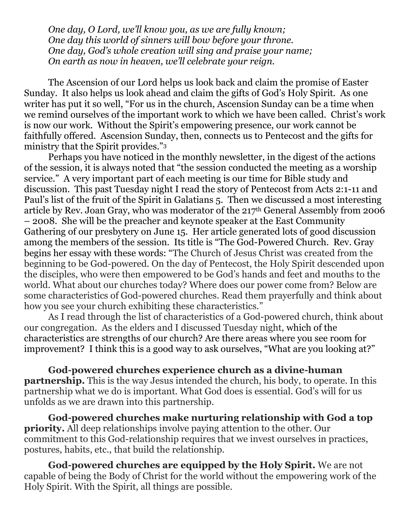*One day, O Lord, we'll know you, as we are fully known; One day this world of sinners will bow before your throne. One day, God's whole creation will sing and praise your name; On earth as now in heaven, we'll celebrate your reign.*

The Ascension of our Lord helps us look back and claim the promise of Easter Sunday. It also helps us look ahead and claim the gifts of God's Holy Spirit. As one writer has put it so well, "For us in the church, Ascension Sunday can be a time when we remind ourselves of the important work to which we have been called. Christ's work is now our work. Without the Spirit's empowering presence, our work cannot be faithfully offered. Ascension Sunday, then, connects us to Pentecost and the gifts for ministry that the Spirit provides."<sup>3</sup>

Perhaps you have noticed in the monthly newsletter, in the digest of the actions of the session, it is always noted that "the session conducted the meeting as a worship service." A very important part of each meeting is our time for Bible study and discussion. This past Tuesday night I read the story of Pentecost from Acts 2:1-11 and Paul's list of the fruit of the Spirit in Galatians 5. Then we discussed a most interesting article by Rev. Joan Gray, who was moderator of the 217th General Assembly from 2006 – 2008. She will be the preacher and keynote speaker at the East Community Gathering of our presbytery on June 15. Her article generated lots of good discussion among the members of the session. Its title is "The God-Powered Church. Rev. Gray begins her essay with these words: "The Church of Jesus Christ was created from the beginning to be God-powered. On the day of Pentecost, the Holy Spirit descended upon the disciples, who were then empowered to be God's hands and feet and mouths to the world. What about our churches today? Where does our power come from? Below are some characteristics of God-powered churches. Read them prayerfully and think about how you see your church exhibiting these characteristics."

As I read through the list of characteristics of a God-powered church, think about our congregation. As the elders and I discussed Tuesday night, which of the characteristics are strengths of our church? Are there areas where you see room for improvement? I think this is a good way to ask ourselves, "What are you looking at?"

**God-powered churches experience church as a divine-human partnership.** This is the way Jesus intended the church, his body, to operate. In this partnership what we do is important. What God does is essential. God's will for us unfolds as we are drawn into this partnership.

**God-powered churches make nurturing relationship with God a top priority.** All deep relationships involve paying attention to the other. Our commitment to this God-relationship requires that we invest ourselves in practices, postures, habits, etc., that build the relationship.

**God-powered churches are equipped by the Holy Spirit.** We are not capable of being the Body of Christ for the world without the empowering work of the Holy Spirit. With the Spirit, all things are possible.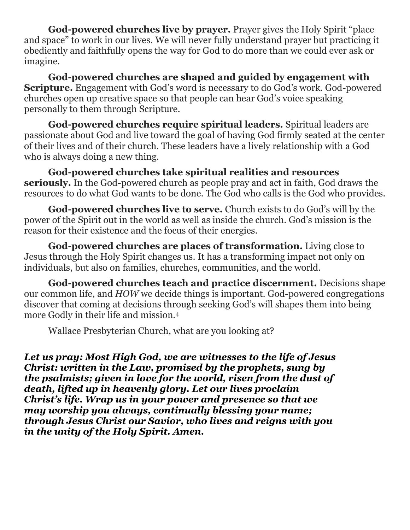**God-powered churches live by prayer.** Prayer gives the Holy Spirit "place and space" to work in our lives. We will never fully understand prayer but practicing it obediently and faithfully opens the way for God to do more than we could ever ask or imagine.

**God-powered churches are shaped and guided by engagement with Scripture.** Engagement with God's word is necessary to do God's work. God-powered churches open up creative space so that people can hear God's voice speaking personally to them through Scripture.

**God-powered churches require spiritual leaders.** Spiritual leaders are passionate about God and live toward the goal of having God firmly seated at the center of their lives and of their church. These leaders have a lively relationship with a God who is always doing a new thing.

**God-powered churches take spiritual realities and resources seriously.** In the God-powered church as people pray and act in faith, God draws the resources to do what God wants to be done. The God who calls is the God who provides.

**God-powered churches live to serve.** Church exists to do God's will by the power of the Spirit out in the world as well as inside the church. God's mission is the reason for their existence and the focus of their energies.

**God-powered churches are places of transformation.** Living close to Jesus through the Holy Spirit changes us. It has a transforming impact not only on individuals, but also on families, churches, communities, and the world.

**God-powered churches teach and practice discernment.** Decisions shape our common life, and *HOW* we decide things is important. God-powered congregations discover that coming at decisions through seeking God's will shapes them into being more Godly in their life and mission.<sup>4</sup>

Wallace Presbyterian Church, what are you looking at?

*Let us pray: Most High God, we are witnesses to the life of Jesus Christ: written in the Law, promised by the prophets, sung by the psalmists; given in love for the world, risen from the dust of death, lifted up in heavenly glory. Let our lives proclaim Christ's life. Wrap us in your power and presence so that we may worship you always, continually blessing your name; through Jesus Christ our Savior, who lives and reigns with you in the unity of the Holy Spirit. Amen.*